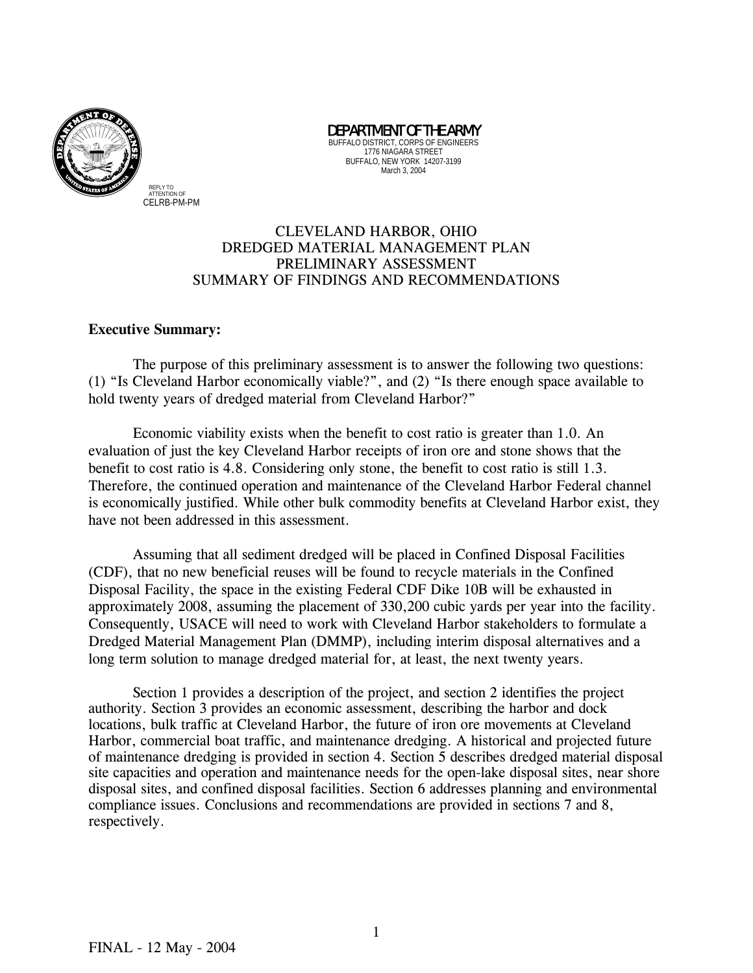

BUFFALO DISTRICT, CORPS OF ENGINEERS 1776 NIAGARA STREET BUFFALO, NEW YORK 14207-3199 March 3, 2004

DEPARTMENT OF THE ARMY

### CLEVELAND HARBOR, OHIO DREDGED MATERIAL MANAGEMENT PLAN PRELIMINARY ASSESSMENT SUMMARY OF FINDINGS AND RECOMMENDATIONS

#### **Executive Summary:**

The purpose of this preliminary assessment is to answer the following two questions: (1) "Is Cleveland Harbor economically viable?", and (2) "Is there enough space available to hold twenty years of dredged material from Cleveland Harbor?"

Economic viability exists when the benefit to cost ratio is greater than 1.0. An evaluation of just the key Cleveland Harbor receipts of iron ore and stone shows that the benefit to cost ratio is 4.8. Considering only stone, the benefit to cost ratio is still 1.3. Therefore, the continued operation and maintenance of the Cleveland Harbor Federal channel is economically justified. While other bulk commodity benefits at Cleveland Harbor exist, they have not been addressed in this assessment.

Assuming that all sediment dredged will be placed in Confined Disposal Facilities (CDF), that no new beneficial reuses will be found to recycle materials in the Confined Disposal Facility, the space in the existing Federal CDF Dike 10B will be exhausted in approximately 2008, assuming the placement of 330,200 cubic yards per year into the facility. Consequently, USACE will need to work with Cleveland Harbor stakeholders to formulate a Dredged Material Management Plan (DMMP), including interim disposal alternatives and a long term solution to manage dredged material for, at least, the next twenty years.

 Section 1 provides a description of the project, and section 2 identifies the project authority. Section 3 provides an economic assessment, describing the harbor and dock locations, bulk traffic at Cleveland Harbor, the future of iron ore movements at Cleveland Harbor, commercial boat traffic, and maintenance dredging. A historical and projected future of maintenance dredging is provided in section 4. Section 5 describes dredged material disposal site capacities and operation and maintenance needs for the open-lake disposal sites, near shore disposal sites, and confined disposal facilities. Section 6 addresses planning and environmental compliance issues. Conclusions and recommendations are provided in sections 7 and 8, respectively.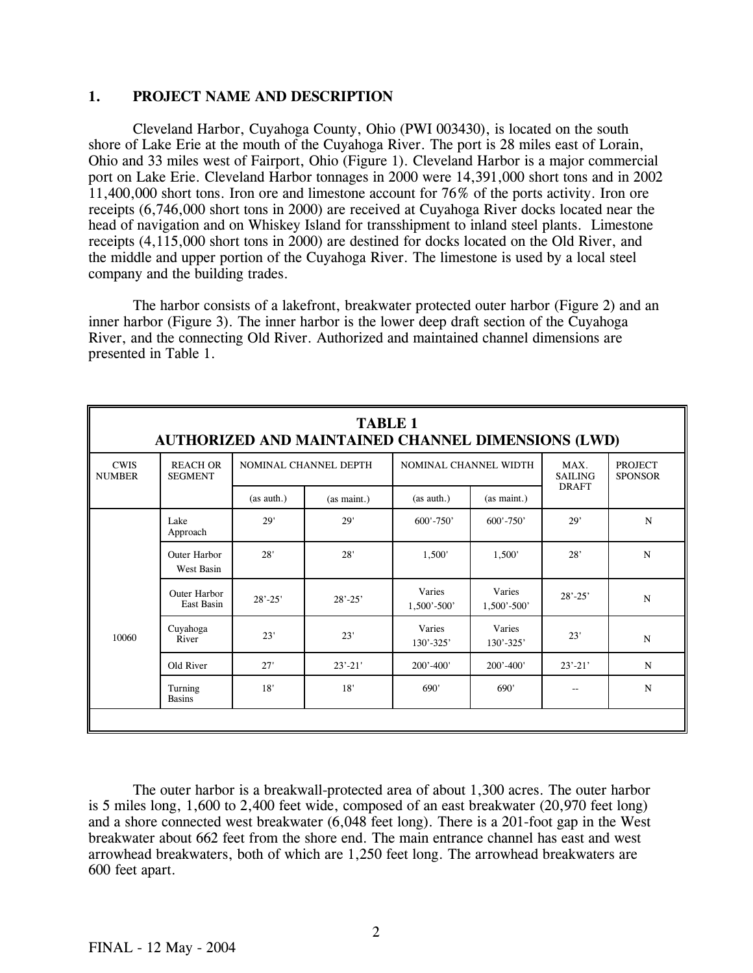#### **1. PROJECT NAME AND DESCRIPTION**

Cleveland Harbor, Cuyahoga County, Ohio (PWI 003430), is located on the south shore of Lake Erie at the mouth of the Cuyahoga River. The port is 28 miles east of Lorain, Ohio and 33 miles west of Fairport, Ohio (Figure 1). Cleveland Harbor is a major commercial port on Lake Erie. Cleveland Harbor tonnages in 2000 were 14,391,000 short tons and in 2002 11,400,000 short tons. Iron ore and limestone account for 76% of the ports activity. Iron ore receipts (6,746,000 short tons in 2000) are received at Cuyahoga River docks located near the head of navigation and on Whiskey Island for transshipment to inland steel plants. Limestone receipts (4,115,000 short tons in 2000) are destined for docks located on the Old River, and the middle and upper portion of the Cuyahoga River. The limestone is used by a local steel company and the building trades.

The harbor consists of a lakefront, breakwater protected outer harbor (Figure 2) and an inner harbor (Figure 3). The inner harbor is the lower deep draft section of the Cuyahoga River, and the connecting Old River. Authorized and maintained channel dimensions are presented in Table 1.

|                              | <b>TABLE 1</b><br>AUTHORIZED AND MAINTAINED CHANNEL DIMENSIONS (LWD) |             |                       |                           |                           |                        |                                  |  |  |  |  |
|------------------------------|----------------------------------------------------------------------|-------------|-----------------------|---------------------------|---------------------------|------------------------|----------------------------------|--|--|--|--|
| <b>CWIS</b><br><b>NUMBER</b> | <b>REACH OR</b><br><b>SEGMENT</b>                                    |             | NOMINAL CHANNEL DEPTH | NOMINAL CHANNEL WIDTH     |                           | MAX.<br><b>SAILING</b> | <b>PROJECT</b><br><b>SPONSOR</b> |  |  |  |  |
|                              |                                                                      | (as auth.)  | (as maint.)           | (as auth.)                | (as maint.)               | <b>DRAFT</b>           |                                  |  |  |  |  |
|                              | Lake<br>Approach                                                     | 29'         | 29'                   | $600' - 750'$             | $600' - 750'$             | 29'                    | N                                |  |  |  |  |
|                              | <b>Outer Harbor</b><br>West Basin                                    | 28'         | 28'                   | 1,500'                    | 1,500'                    | 28'                    | N                                |  |  |  |  |
|                              | <b>Outer Harbor</b><br>East Basin                                    | $28' - 25'$ | $28' - 25'$           | Varies<br>$1,500' - 500'$ | Varies<br>$1,500' - 500'$ | $28' - 25'$            | $\mathbf N$                      |  |  |  |  |
| 10060                        | Cuyahoga<br>River                                                    | 23'         | 23'                   | Varies<br>$130' - 325'$   | Varies<br>$130' - 325'$   | 23'                    | N                                |  |  |  |  |
|                              | Old River                                                            | 27'         | $23' - 21'$           | $200' - 400'$             | $200' - 400'$             | $23' - 21'$            | N                                |  |  |  |  |
|                              | Turning<br><b>Basins</b>                                             | 18'         | 18'                   | 690'                      | 690'                      | --                     | $\mathbf N$                      |  |  |  |  |
|                              |                                                                      |             |                       |                           |                           |                        |                                  |  |  |  |  |

The outer harbor is a breakwall-protected area of about 1,300 acres. The outer harbor is 5 miles long, 1,600 to 2,400 feet wide, composed of an east breakwater (20,970 feet long) and a shore connected west breakwater (6,048 feet long). There is a 201-foot gap in the West breakwater about 662 feet from the shore end. The main entrance channel has east and west arrowhead breakwaters, both of which are 1,250 feet long. The arrowhead breakwaters are 600 feet apart.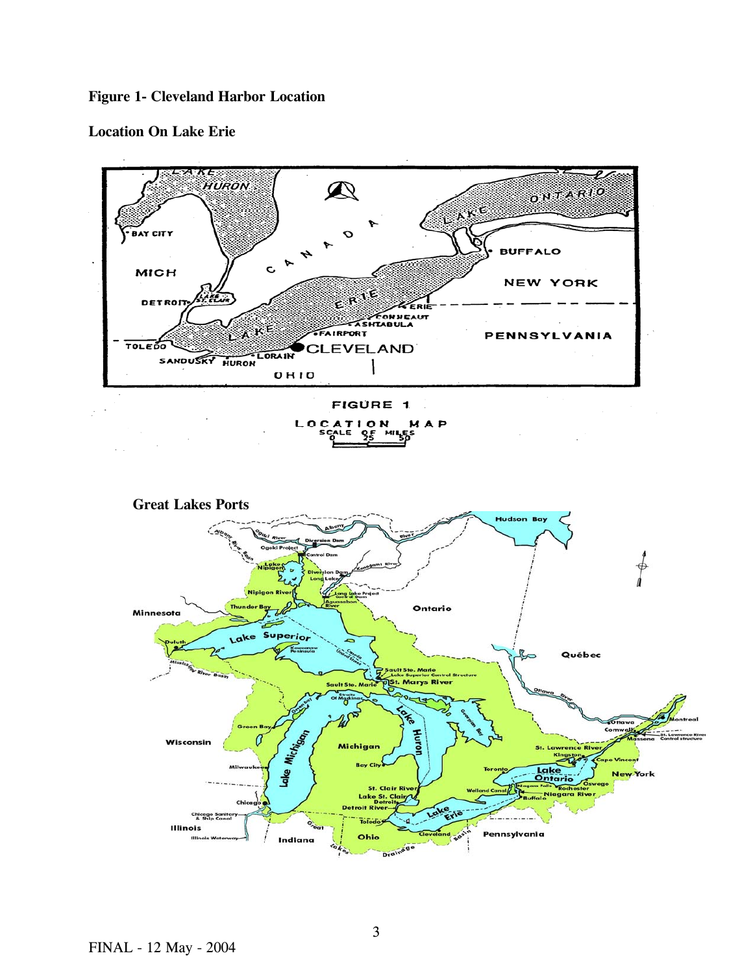# **Figure 1- Cleveland Harbor Location**

## **Location On Lake Erie**

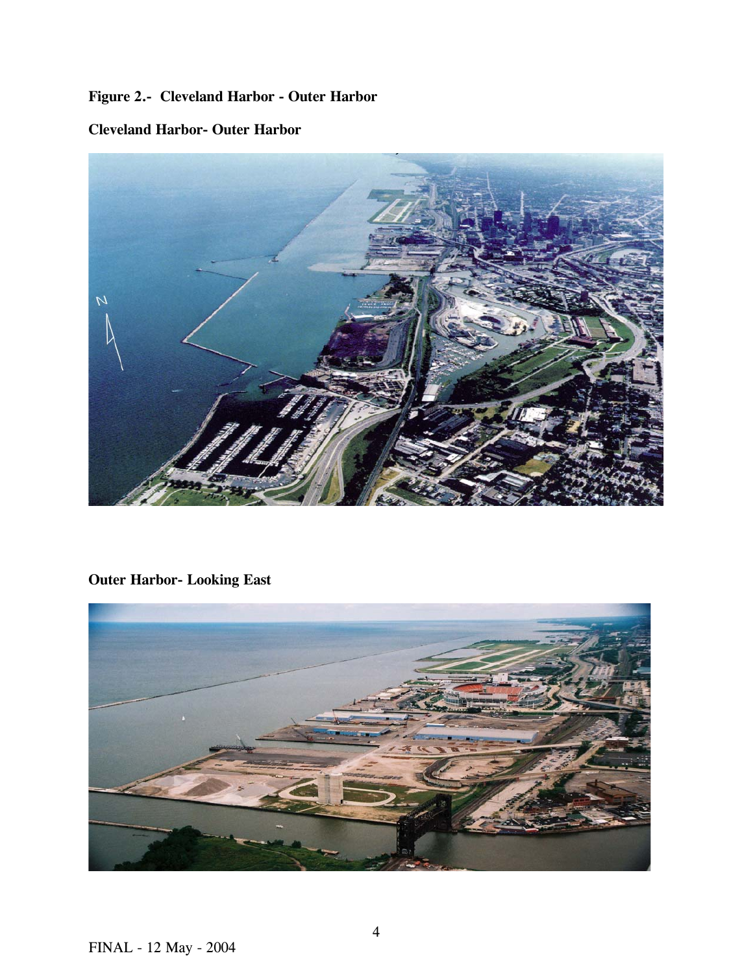# **Figure 2.- Cleveland Harbor - Outer Harbor**

# **Cleveland Harbor- Outer Harbor**



**Outer Harbor- Looking East** 

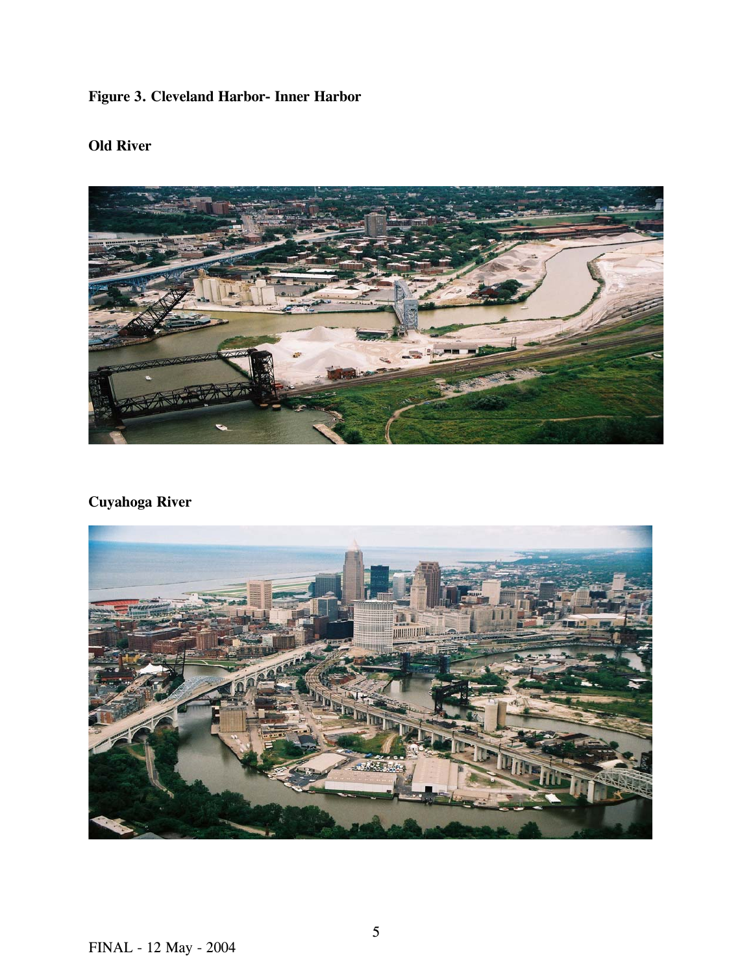# **Figure 3. Cleveland Harbor- Inner Harbor**

# **Old River**

# **Cuyahoga River**

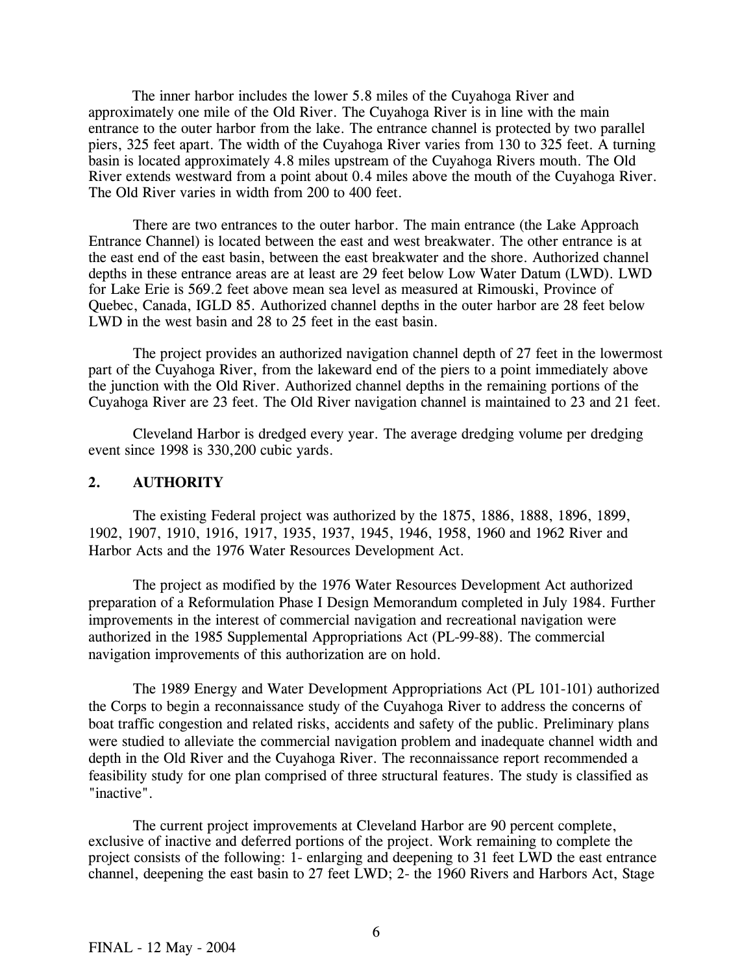The inner harbor includes the lower 5.8 miles of the Cuyahoga River and approximately one mile of the Old River. The Cuyahoga River is in line with the main entrance to the outer harbor from the lake. The entrance channel is protected by two parallel piers, 325 feet apart. The width of the Cuyahoga River varies from 130 to 325 feet. A turning basin is located approximately 4.8 miles upstream of the Cuyahoga Rivers mouth. The Old River extends westward from a point about 0.4 miles above the mouth of the Cuyahoga River. The Old River varies in width from 200 to 400 feet.

There are two entrances to the outer harbor. The main entrance (the Lake Approach Entrance Channel) is located between the east and west breakwater. The other entrance is at the east end of the east basin, between the east breakwater and the shore. Authorized channel depths in these entrance areas are at least are 29 feet below Low Water Datum (LWD). LWD for Lake Erie is 569.2 feet above mean sea level as measured at Rimouski, Province of Quebec, Canada, IGLD 85. Authorized channel depths in the outer harbor are 28 feet below LWD in the west basin and 28 to 25 feet in the east basin.

 The project provides an authorized navigation channel depth of 27 feet in the lowermost part of the Cuyahoga River, from the lakeward end of the piers to a point immediately above the junction with the Old River. Authorized channel depths in the remaining portions of the Cuyahoga River are 23 feet. The Old River navigation channel is maintained to 23 and 21 feet.

 Cleveland Harbor is dredged every year. The average dredging volume per dredging event since 1998 is 330,200 cubic yards.

#### **2. AUTHORITY**

The existing Federal project was authorized by the 1875, 1886, 1888, 1896, 1899, 1902, 1907, 1910, 1916, 1917, 1935, 1937, 1945, 1946, 1958, 1960 and 1962 River and Harbor Acts and the 1976 Water Resources Development Act.

 The project as modified by the 1976 Water Resources Development Act authorized preparation of a Reformulation Phase I Design Memorandum completed in July 1984. Further improvements in the interest of commercial navigation and recreational navigation were authorized in the 1985 Supplemental Appropriations Act (PL-99-88). The commercial navigation improvements of this authorization are on hold.

 The 1989 Energy and Water Development Appropriations Act (PL 101-101) authorized the Corps to begin a reconnaissance study of the Cuyahoga River to address the concerns of boat traffic congestion and related risks, accidents and safety of the public. Preliminary plans were studied to alleviate the commercial navigation problem and inadequate channel width and depth in the Old River and the Cuyahoga River. The reconnaissance report recommended a feasibility study for one plan comprised of three structural features. The study is classified as "inactive".

 The current project improvements at Cleveland Harbor are 90 percent complete, exclusive of inactive and deferred portions of the project. Work remaining to complete the project consists of the following: 1- enlarging and deepening to 31 feet LWD the east entrance channel, deepening the east basin to 27 feet LWD; 2- the 1960 Rivers and Harbors Act, Stage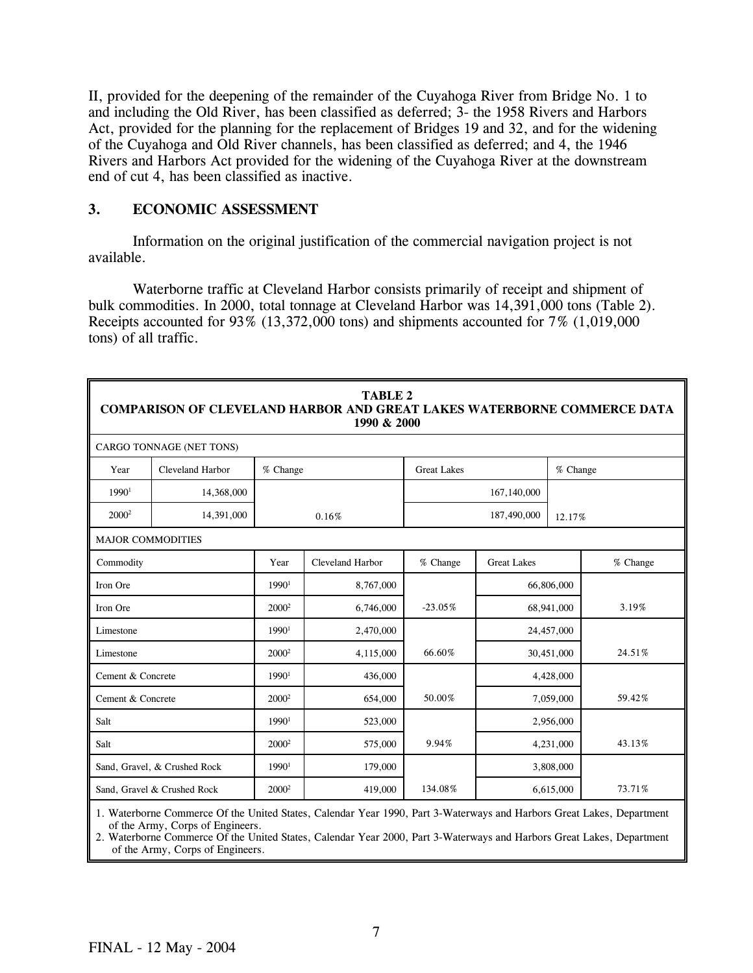II, provided for the deepening of the remainder of the Cuyahoga River from Bridge No. 1 to and including the Old River, has been classified as deferred; 3- the 1958 Rivers and Harbors Act, provided for the planning for the replacement of Bridges 19 and 32, and for the widening of the Cuyahoga and Old River channels, has been classified as deferred; and 4, the 1946 Rivers and Harbors Act provided for the widening of the Cuyahoga River at the downstream end of cut 4, has been classified as inactive.

#### **3. ECONOMIC ASSESSMENT**

Information on the original justification of the commercial navigation project is not available.

Waterborne traffic at Cleveland Harbor consists primarily of receipt and shipment of bulk commodities. In 2000, total tonnage at Cleveland Harbor was 14,391,000 tons (Table 2). Receipts accounted for  $93\%$  (13,372,000 tons) and shipments accounted for  $7\%$  (1,019,000 tons) of all traffic.

|                                                                                                                                                         | <b>TABLE 2</b><br><b>COMPARISON OF CLEVELAND HARBOR AND GREAT LAKES WATERBORNE COMMERCE DATA</b><br>1990 & 2000 |                   |                  |                    |                    |            |          |  |  |  |
|---------------------------------------------------------------------------------------------------------------------------------------------------------|-----------------------------------------------------------------------------------------------------------------|-------------------|------------------|--------------------|--------------------|------------|----------|--|--|--|
|                                                                                                                                                         | CARGO TONNAGE (NET TONS)                                                                                        |                   |                  |                    |                    |            |          |  |  |  |
| Year                                                                                                                                                    | Cleveland Harbor                                                                                                | % Change          |                  | <b>Great Lakes</b> |                    | % Change   |          |  |  |  |
| 1990 <sup>1</sup>                                                                                                                                       | 14,368,000                                                                                                      |                   |                  |                    | 167,140,000        |            |          |  |  |  |
| $2000^2$                                                                                                                                                | 14,391,000                                                                                                      |                   | 0.16%            |                    | 187,490,000        | 12.17%     |          |  |  |  |
|                                                                                                                                                         | <b>MAJOR COMMODITIES</b>                                                                                        |                   |                  |                    |                    |            |          |  |  |  |
| Commodity                                                                                                                                               |                                                                                                                 | Year              | Cleveland Harbor | % Change           | <b>Great Lakes</b> |            | % Change |  |  |  |
| Iron Ore                                                                                                                                                |                                                                                                                 | 1990 <sup>1</sup> | 8,767,000        |                    |                    | 66,806,000 |          |  |  |  |
| Iron Ore                                                                                                                                                |                                                                                                                 | 2000 <sup>2</sup> | 6,746,000        | $-23.05%$          |                    | 68,941,000 | 3.19%    |  |  |  |
| Limestone                                                                                                                                               |                                                                                                                 | 1990 <sup>1</sup> | 2,470,000        |                    |                    | 24,457,000 |          |  |  |  |
| Limestone                                                                                                                                               |                                                                                                                 | 2000 <sup>2</sup> | 4,115,000        | 66.60%             |                    | 30,451,000 | 24.51%   |  |  |  |
| Cement & Concrete                                                                                                                                       |                                                                                                                 | 1990 <sup>1</sup> | 436,000          |                    |                    | 4,428,000  |          |  |  |  |
| Cement & Concrete                                                                                                                                       |                                                                                                                 | $2000^2$          | 654,000          | 50.00%             |                    | 7,059,000  | 59.42%   |  |  |  |
| Salt                                                                                                                                                    |                                                                                                                 | 1990 <sup>1</sup> | 523,000          |                    |                    | 2,956,000  |          |  |  |  |
| Salt                                                                                                                                                    |                                                                                                                 | 2000 <sup>2</sup> | 575,000          | 9.94%              |                    | 4,231,000  | 43.13%   |  |  |  |
|                                                                                                                                                         | Sand, Gravel, & Crushed Rock                                                                                    | $1990^1$          | 179,000          |                    |                    | 3,808,000  |          |  |  |  |
|                                                                                                                                                         | Sand, Gravel & Crushed Rock                                                                                     | 2000 <sup>2</sup> | 419,000          | 134.08%            |                    | 6,615,000  | 73.71%   |  |  |  |
| 1. Waterborne Commerce Of the United States, Calendar Year 1990, Part 3-Waterways and Harbors Great Lakes, Department<br>of the Ampri Come of Engineers |                                                                                                                 |                   |                  |                    |                    |            |          |  |  |  |

 of the Army, Corps of Engineers. 2. Waterborne Commerce Of the United States, Calendar Year 2000, Part 3-Waterways and Harbors Great Lakes, Department

of the Army, Corps of Engineers.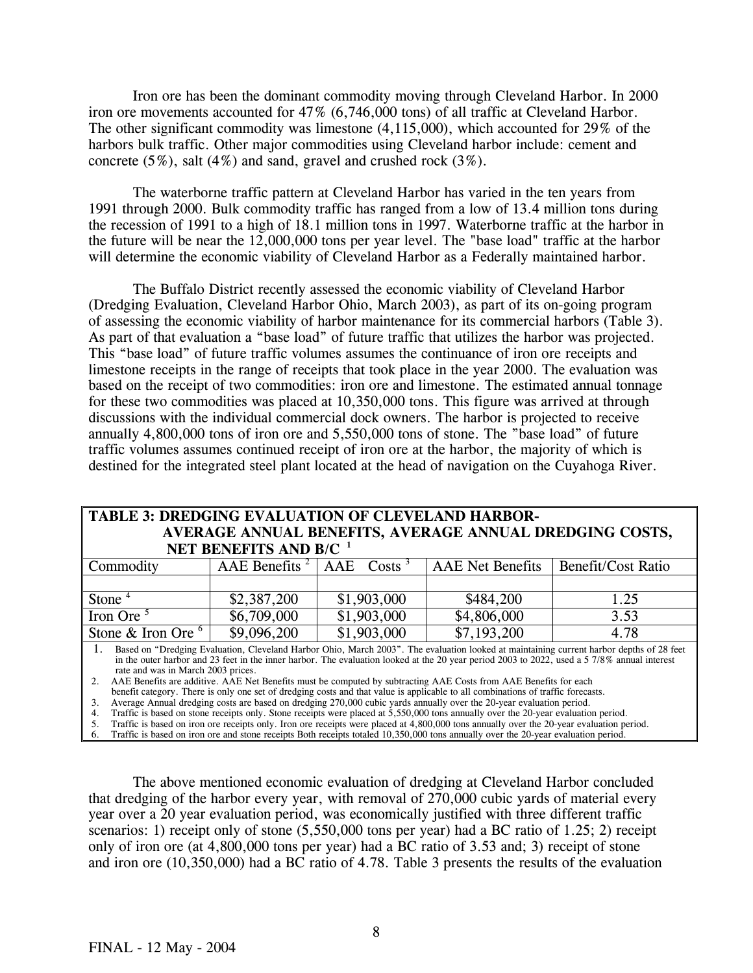Iron ore has been the dominant commodity moving through Cleveland Harbor. In 2000 iron ore movements accounted for 47% (6,746,000 tons) of all traffic at Cleveland Harbor. The other significant commodity was limestone (4,115,000), which accounted for 29% of the harbors bulk traffic. Other major commodities using Cleveland harbor include: cement and concrete (5%), salt (4%) and sand, gravel and crushed rock (3%).

The waterborne traffic pattern at Cleveland Harbor has varied in the ten years from 1991 through 2000. Bulk commodity traffic has ranged from a low of 13.4 million tons during the recession of 1991 to a high of 18.1 million tons in 1997. Waterborne traffic at the harbor in the future will be near the 12,000,000 tons per year level. The "base load" traffic at the harbor will determine the economic viability of Cleveland Harbor as a Federally maintained harbor.

 The Buffalo District recently assessed the economic viability of Cleveland Harbor (Dredging Evaluation, Cleveland Harbor Ohio, March 2003), as part of its on-going program of assessing the economic viability of harbor maintenance for its commercial harbors (Table 3). As part of that evaluation a "base load" of future traffic that utilizes the harbor was projected. This "base load" of future traffic volumes assumes the continuance of iron ore receipts and limestone receipts in the range of receipts that took place in the year 2000. The evaluation was based on the receipt of two commodities: iron ore and limestone. The estimated annual tonnage for these two commodities was placed at 10,350,000 tons. This figure was arrived at through discussions with the individual commercial dock owners. The harbor is projected to receive annually 4,800,000 tons of iron ore and 5,550,000 tons of stone. The "base load" of future traffic volumes assumes continued receipt of iron ore at the harbor, the majority of which is destined for the integrated steel plant located at the head of navigation on the Cuyahoga River.

|                | <b>TABLE 3: DREDGING EVALUATION OF CLEVELAND HARBOR-</b> |  |  |  |                                                       |  |  |  |
|----------------|----------------------------------------------------------|--|--|--|-------------------------------------------------------|--|--|--|
|                | AVERAGE ANNUAL BENEFITS, AVERAGE ANNUAL DREDGING COSTS,  |  |  |  |                                                       |  |  |  |
|                | NET BENEFITS AND B/C <sup>1</sup>                        |  |  |  |                                                       |  |  |  |
| $ -$<br>$\sim$ |                                                          |  |  |  | $\cdots$ $\cdots$ $\cdots$ $\cdots$ $\cdots$ $\cdots$ |  |  |  |

| Commodity                  | AAE Benefits $2$ | AAE<br>$\cos(s^3)$ | <b>AAE</b> Net Benefits | Benefit/Cost Ratio |
|----------------------------|------------------|--------------------|-------------------------|--------------------|
|                            |                  |                    |                         |                    |
| Stone <sup>4</sup>         | \$2,387,200      | \$1,903,000        | \$484,200               | 1.25               |
| Iron Ore $5$               | \$6,709,000      | \$1,903,000        | \$4,806,000             | 3.53               |
| Stone & Iron Ore $\degree$ | \$9,096,200      | \$1,903,000        | \$7,193,200             | 4.78               |

1. Based on "Dredging Evaluation, Cleveland Harbor Ohio, March 2003". The evaluation looked at maintaining current harbor depths of 28 feet in the outer harbor and 23 feet in the inner harbor. The evaluation looked at the 20 year period 2003 to 2022, used a 5 7/8% annual interest rate and was in March 2003 prices.

2. AAE Benefits are additive. AAE Net Benefits must be computed by subtracting AAE Costs from AAE Benefits for each

benefit category. There is only one set of dredging costs and that value is applicable to all combinations of traffic forecasts.

3. Average Annual dredging costs are based on dredging 270,000 cubic yards annually over the 20-year evaluation period.

4. Traffic is based on stone receipts only. Stone receipts were placed at 5,550,000 tons annually over the 20-year evaluation period.

5. Traffic is based on iron ore receipts only. Iron ore receipts were placed at 4,800,000 tons annually over the 20-year evaluation period.

6. Traffic is based on iron ore and stone receipts Both receipts totaled 10,350,000 tons annually over the 20-year evaluation period.

 The above mentioned economic evaluation of dredging at Cleveland Harbor concluded that dredging of the harbor every year, with removal of 270,000 cubic yards of material every year over a 20 year evaluation period, was economically justified with three different traffic scenarios: 1) receipt only of stone  $(5,550,000)$  tons per year) had a BC ratio of 1.25; 2) receipt only of iron ore (at 4,800,000 tons per year) had a BC ratio of 3.53 and; 3) receipt of stone and iron ore (10,350,000) had a BC ratio of 4.78. Table 3 presents the results of the evaluation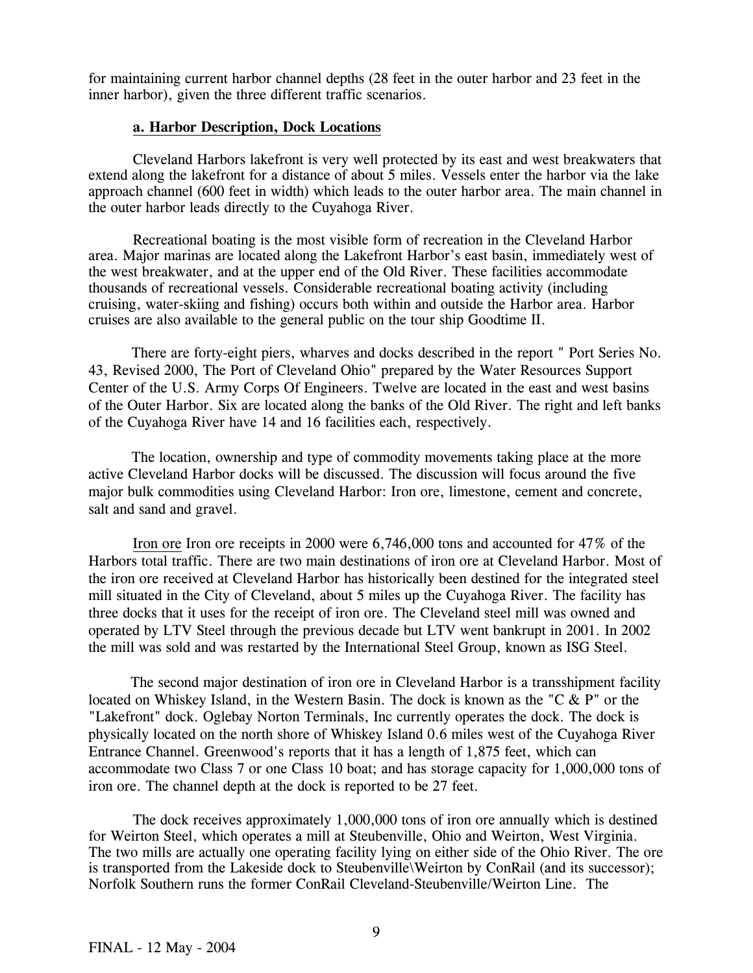for maintaining current harbor channel depths (28 feet in the outer harbor and 23 feet in the inner harbor), given the three different traffic scenarios.

#### **a. Harbor Description, Dock Locations**

Cleveland Harbors lakefront is very well protected by its east and west breakwaters that extend along the lakefront for a distance of about 5 miles. Vessels enter the harbor via the lake approach channel (600 feet in width) which leads to the outer harbor area. The main channel in the outer harbor leads directly to the Cuyahoga River.

Recreational boating is the most visible form of recreation in the Cleveland Harbor area. Major marinas are located along the Lakefront Harbor's east basin, immediately west of the west breakwater, and at the upper end of the Old River. These facilities accommodate thousands of recreational vessels. Considerable recreational boating activity (including cruising, water-skiing and fishing) occurs both within and outside the Harbor area. Harbor cruises are also available to the general public on the tour ship Goodtime II.

 There are forty-eight piers, wharves and docks described in the report " Port Series No. 43, Revised 2000, The Port of Cleveland Ohio" prepared by the Water Resources Support Center of the U.S. Army Corps Of Engineers. Twelve are located in the east and west basins of the Outer Harbor. Six are located along the banks of the Old River. The right and left banks of the Cuyahoga River have 14 and 16 facilities each, respectively.

 The location, ownership and type of commodity movements taking place at the more active Cleveland Harbor docks will be discussed. The discussion will focus around the five major bulk commodities using Cleveland Harbor: Iron ore, limestone, cement and concrete, salt and sand and gravel.

Iron ore Iron ore receipts in 2000 were 6,746,000 tons and accounted for 47% of the Harbors total traffic. There are two main destinations of iron ore at Cleveland Harbor. Most of the iron ore received at Cleveland Harbor has historically been destined for the integrated steel mill situated in the City of Cleveland, about 5 miles up the Cuyahoga River. The facility has three docks that it uses for the receipt of iron ore. The Cleveland steel mill was owned and operated by LTV Steel through the previous decade but LTV went bankrupt in 2001. In 2002 the mill was sold and was restarted by the International Steel Group, known as ISG Steel.

 The second major destination of iron ore in Cleveland Harbor is a transshipment facility located on Whiskey Island, in the Western Basin. The dock is known as the "C & P" or the "Lakefront" dock. Oglebay Norton Terminals, Inc currently operates the dock. The dock is physically located on the north shore of Whiskey Island 0.6 miles west of the Cuyahoga River Entrance Channel. Greenwood's reports that it has a length of 1,875 feet, which can accommodate two Class 7 or one Class 10 boat; and has storage capacity for 1,000,000 tons of iron ore. The channel depth at the dock is reported to be 27 feet.

The dock receives approximately 1,000,000 tons of iron ore annually which is destined for Weirton Steel, which operates a mill at Steubenville, Ohio and Weirton, West Virginia. The two mills are actually one operating facility lying on either side of the Ohio River. The ore is transported from the Lakeside dock to Steubenville\Weirton by ConRail (and its successor); Norfolk Southern runs the former ConRail Cleveland-Steubenville/Weirton Line. The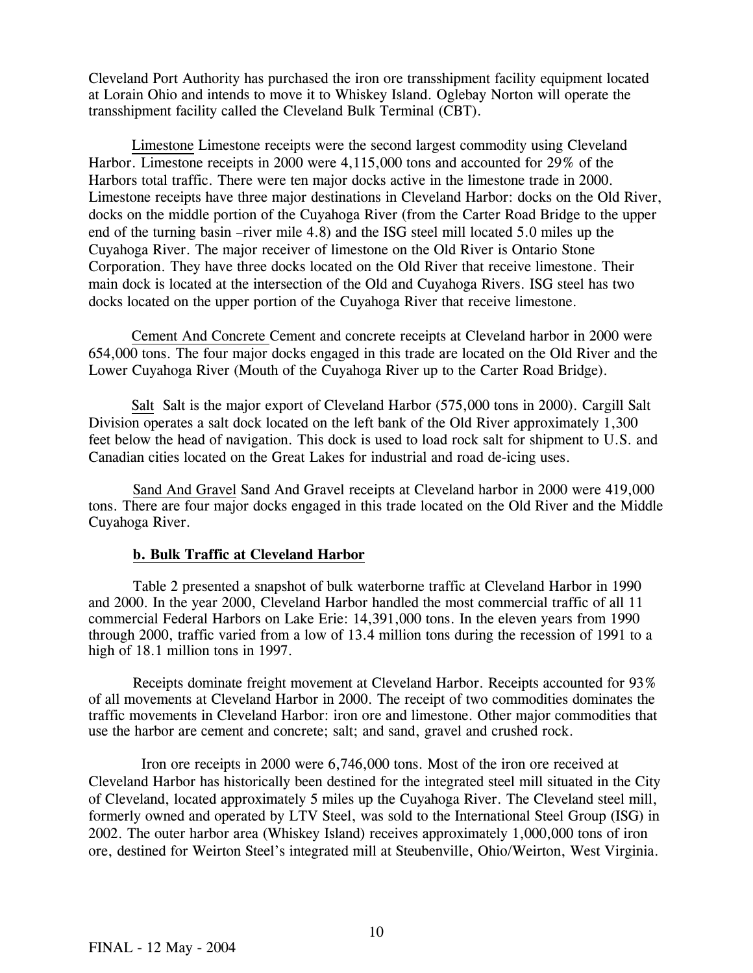Cleveland Port Authority has purchased the iron ore transshipment facility equipment located at Lorain Ohio and intends to move it to Whiskey Island. Oglebay Norton will operate the transshipment facility called the Cleveland Bulk Terminal (CBT).

Limestone Limestone receipts were the second largest commodity using Cleveland Harbor. Limestone receipts in 2000 were 4,115,000 tons and accounted for 29% of the Harbors total traffic. There were ten major docks active in the limestone trade in 2000. Limestone receipts have three major destinations in Cleveland Harbor: docks on the Old River, docks on the middle portion of the Cuyahoga River (from the Carter Road Bridge to the upper end of the turning basin –river mile 4.8) and the ISG steel mill located 5.0 miles up the Cuyahoga River. The major receiver of limestone on the Old River is Ontario Stone Corporation. They have three docks located on the Old River that receive limestone. Their main dock is located at the intersection of the Old and Cuyahoga Rivers. ISG steel has two docks located on the upper portion of the Cuyahoga River that receive limestone.

Cement And Concrete Cement and concrete receipts at Cleveland harbor in 2000 were 654,000 tons. The four major docks engaged in this trade are located on the Old River and the Lower Cuyahoga River (Mouth of the Cuyahoga River up to the Carter Road Bridge).

Salt Salt is the major export of Cleveland Harbor (575,000 tons in 2000). Cargill Salt Division operates a salt dock located on the left bank of the Old River approximately 1,300 feet below the head of navigation. This dock is used to load rock salt for shipment to U.S. and Canadian cities located on the Great Lakes for industrial and road de-icing uses.

Sand And Gravel Sand And Gravel receipts at Cleveland harbor in 2000 were 419,000 tons. There are four major docks engaged in this trade located on the Old River and the Middle Cuyahoga River.

#### **b. Bulk Traffic at Cleveland Harbor**

 Table 2 presented a snapshot of bulk waterborne traffic at Cleveland Harbor in 1990 and 2000. In the year 2000, Cleveland Harbor handled the most commercial traffic of all 11 commercial Federal Harbors on Lake Erie: 14,391,000 tons. In the eleven years from 1990 through 2000, traffic varied from a low of 13.4 million tons during the recession of 1991 to a high of 18.1 million tons in 1997.

 Receipts dominate freight movement at Cleveland Harbor. Receipts accounted for 93% of all movements at Cleveland Harbor in 2000. The receipt of two commodities dominates the traffic movements in Cleveland Harbor: iron ore and limestone. Other major commodities that use the harbor are cement and concrete; salt; and sand, gravel and crushed rock.

 Iron ore receipts in 2000 were 6,746,000 tons. Most of the iron ore received at Cleveland Harbor has historically been destined for the integrated steel mill situated in the City of Cleveland, located approximately 5 miles up the Cuyahoga River. The Cleveland steel mill, formerly owned and operated by LTV Steel, was sold to the International Steel Group (ISG) in 2002. The outer harbor area (Whiskey Island) receives approximately 1,000,000 tons of iron ore, destined for Weirton Steel's integrated mill at Steubenville, Ohio/Weirton, West Virginia.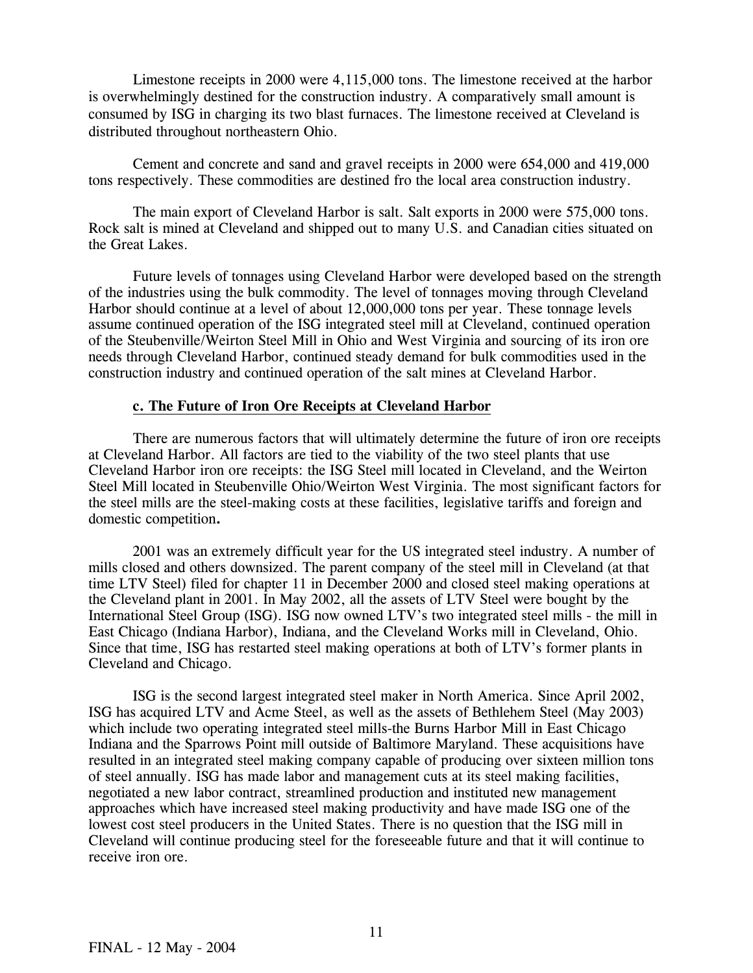Limestone receipts in 2000 were 4,115,000 tons. The limestone received at the harbor is overwhelmingly destined for the construction industry. A comparatively small amount is consumed by ISG in charging its two blast furnaces. The limestone received at Cleveland is distributed throughout northeastern Ohio.

 Cement and concrete and sand and gravel receipts in 2000 were 654,000 and 419,000 tons respectively. These commodities are destined fro the local area construction industry.

 The main export of Cleveland Harbor is salt. Salt exports in 2000 were 575,000 tons. Rock salt is mined at Cleveland and shipped out to many U.S. and Canadian cities situated on the Great Lakes.

 Future levels of tonnages using Cleveland Harbor were developed based on the strength of the industries using the bulk commodity. The level of tonnages moving through Cleveland Harbor should continue at a level of about 12,000,000 tons per year. These tonnage levels assume continued operation of the ISG integrated steel mill at Cleveland, continued operation of the Steubenville/Weirton Steel Mill in Ohio and West Virginia and sourcing of its iron ore needs through Cleveland Harbor, continued steady demand for bulk commodities used in the construction industry and continued operation of the salt mines at Cleveland Harbor.

#### **c. The Future of Iron Ore Receipts at Cleveland Harbor**

There are numerous factors that will ultimately determine the future of iron ore receipts at Cleveland Harbor. All factors are tied to the viability of the two steel plants that use Cleveland Harbor iron ore receipts: the ISG Steel mill located in Cleveland, and the Weirton Steel Mill located in Steubenville Ohio/Weirton West Virginia. The most significant factors for the steel mills are the steel-making costs at these facilities, legislative tariffs and foreign and domestic competition**.**

 2001 was an extremely difficult year for the US integrated steel industry. A number of mills closed and others downsized. The parent company of the steel mill in Cleveland (at that time LTV Steel) filed for chapter 11 in December 2000 and closed steel making operations at the Cleveland plant in 2001. In May 2002, all the assets of LTV Steel were bought by the International Steel Group (ISG). ISG now owned LTV's two integrated steel mills - the mill in East Chicago (Indiana Harbor), Indiana, and the Cleveland Works mill in Cleveland, Ohio. Since that time, ISG has restarted steel making operations at both of LTV's former plants in Cleveland and Chicago.

 ISG is the second largest integrated steel maker in North America. Since April 2002, ISG has acquired LTV and Acme Steel, as well as the assets of Bethlehem Steel (May 2003) which include two operating integrated steel mills-the Burns Harbor Mill in East Chicago Indiana and the Sparrows Point mill outside of Baltimore Maryland. These acquisitions have resulted in an integrated steel making company capable of producing over sixteen million tons of steel annually. ISG has made labor and management cuts at its steel making facilities, negotiated a new labor contract, streamlined production and instituted new management approaches which have increased steel making productivity and have made ISG one of the lowest cost steel producers in the United States. There is no question that the ISG mill in Cleveland will continue producing steel for the foreseeable future and that it will continue to receive iron ore.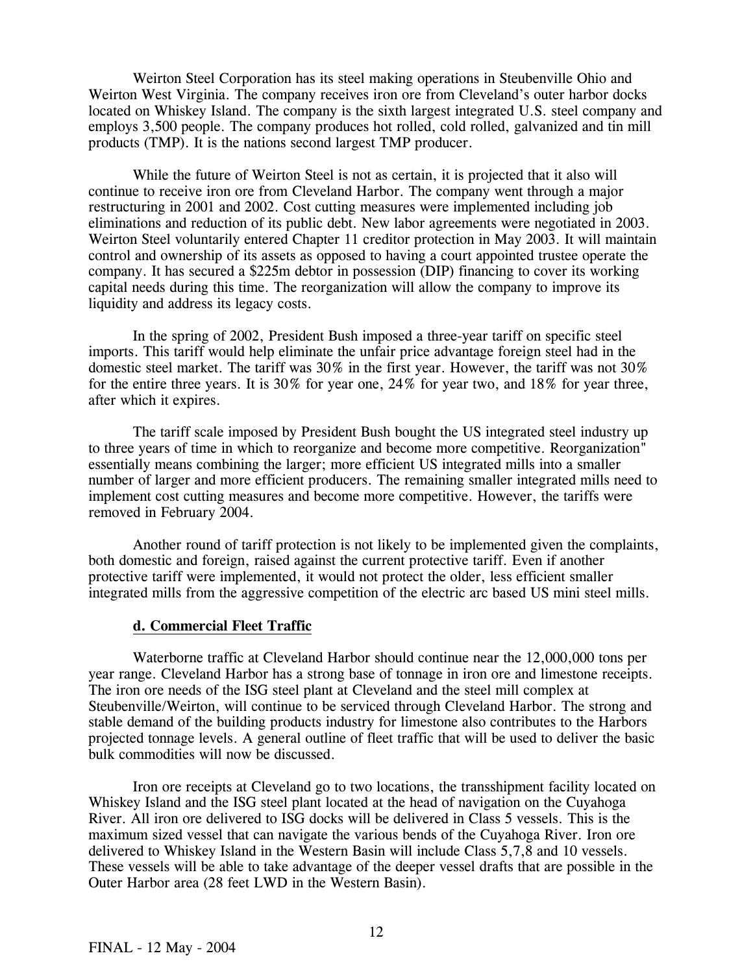Weirton Steel Corporation has its steel making operations in Steubenville Ohio and Weirton West Virginia. The company receives iron ore from Cleveland's outer harbor docks located on Whiskey Island. The company is the sixth largest integrated U.S. steel company and employs 3,500 people. The company produces hot rolled, cold rolled, galvanized and tin mill products (TMP). It is the nations second largest TMP producer.

 While the future of Weirton Steel is not as certain, it is projected that it also will continue to receive iron ore from Cleveland Harbor. The company went through a major restructuring in 2001 and 2002. Cost cutting measures were implemented including job eliminations and reduction of its public debt. New labor agreements were negotiated in 2003. Weirton Steel voluntarily entered Chapter 11 creditor protection in May 2003. It will maintain control and ownership of its assets as opposed to having a court appointed trustee operate the company. It has secured a \$225m debtor in possession (DIP) financing to cover its working capital needs during this time. The reorganization will allow the company to improve its liquidity and address its legacy costs.

 In the spring of 2002, President Bush imposed a three-year tariff on specific steel imports. This tariff would help eliminate the unfair price advantage foreign steel had in the domestic steel market. The tariff was 30% in the first year. However, the tariff was not 30% for the entire three years. It is 30% for year one, 24% for year two, and 18% for year three, after which it expires.

 The tariff scale imposed by President Bush bought the US integrated steel industry up to three years of time in which to reorganize and become more competitive. Reorganization" essentially means combining the larger; more efficient US integrated mills into a smaller number of larger and more efficient producers. The remaining smaller integrated mills need to implement cost cutting measures and become more competitive. However, the tariffs were removed in February 2004.

 Another round of tariff protection is not likely to be implemented given the complaints, both domestic and foreign, raised against the current protective tariff. Even if another protective tariff were implemented, it would not protect the older, less efficient smaller integrated mills from the aggressive competition of the electric arc based US mini steel mills.

#### **d. Commercial Fleet Traffic**

 Waterborne traffic at Cleveland Harbor should continue near the 12,000,000 tons per year range. Cleveland Harbor has a strong base of tonnage in iron ore and limestone receipts. The iron ore needs of the ISG steel plant at Cleveland and the steel mill complex at Steubenville/Weirton, will continue to be serviced through Cleveland Harbor. The strong and stable demand of the building products industry for limestone also contributes to the Harbors projected tonnage levels. A general outline of fleet traffic that will be used to deliver the basic bulk commodities will now be discussed.

 Iron ore receipts at Cleveland go to two locations, the transshipment facility located on Whiskey Island and the ISG steel plant located at the head of navigation on the Cuyahoga River. All iron ore delivered to ISG docks will be delivered in Class 5 vessels. This is the maximum sized vessel that can navigate the various bends of the Cuyahoga River. Iron ore delivered to Whiskey Island in the Western Basin will include Class 5,7,8 and 10 vessels. These vessels will be able to take advantage of the deeper vessel drafts that are possible in the Outer Harbor area (28 feet LWD in the Western Basin).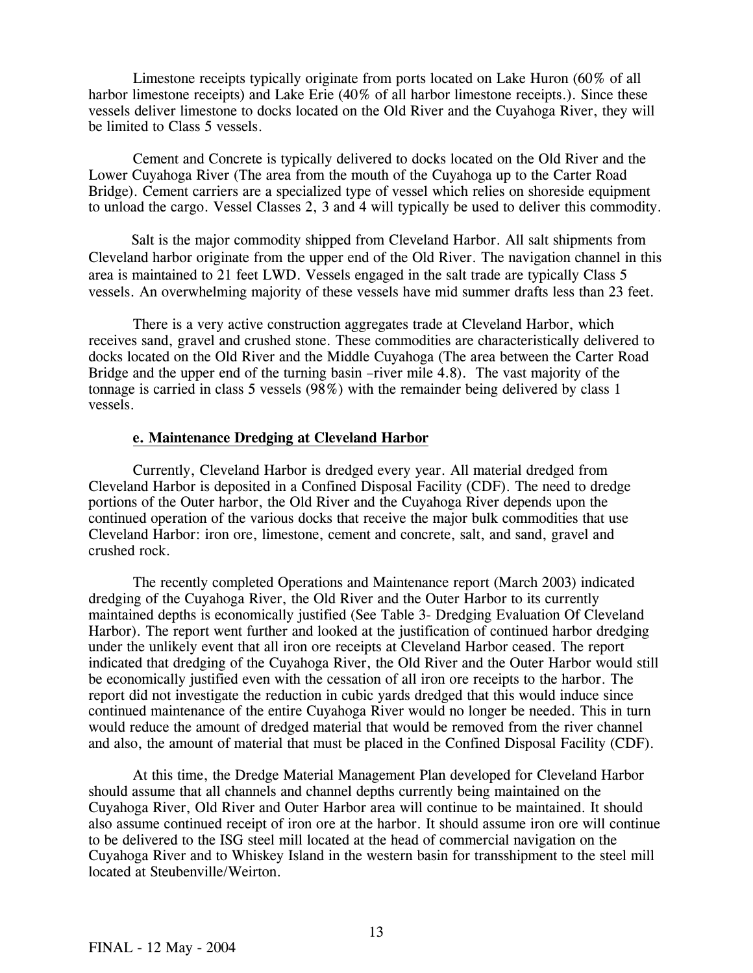Limestone receipts typically originate from ports located on Lake Huron (60% of all harbor limestone receipts) and Lake Erie (40% of all harbor limestone receipts.). Since these vessels deliver limestone to docks located on the Old River and the Cuyahoga River, they will be limited to Class 5 vessels.

 Cement and Concrete is typically delivered to docks located on the Old River and the Lower Cuyahoga River (The area from the mouth of the Cuyahoga up to the Carter Road Bridge). Cement carriers are a specialized type of vessel which relies on shoreside equipment to unload the cargo. Vessel Classes 2, 3 and 4 will typically be used to deliver this commodity.

 Salt is the major commodity shipped from Cleveland Harbor. All salt shipments from Cleveland harbor originate from the upper end of the Old River. The navigation channel in this area is maintained to 21 feet LWD. Vessels engaged in the salt trade are typically Class 5 vessels. An overwhelming majority of these vessels have mid summer drafts less than 23 feet.

 There is a very active construction aggregates trade at Cleveland Harbor, which receives sand, gravel and crushed stone. These commodities are characteristically delivered to docks located on the Old River and the Middle Cuyahoga (The area between the Carter Road Bridge and the upper end of the turning basin –river mile 4.8). The vast majority of the tonnage is carried in class 5 vessels (98%) with the remainder being delivered by class 1 vessels.

#### **e. Maintenance Dredging at Cleveland Harbor**

 Currently, Cleveland Harbor is dredged every year. All material dredged from Cleveland Harbor is deposited in a Confined Disposal Facility (CDF). The need to dredge portions of the Outer harbor, the Old River and the Cuyahoga River depends upon the continued operation of the various docks that receive the major bulk commodities that use Cleveland Harbor: iron ore, limestone, cement and concrete, salt, and sand, gravel and crushed rock.

 The recently completed Operations and Maintenance report (March 2003) indicated dredging of the Cuyahoga River, the Old River and the Outer Harbor to its currently maintained depths is economically justified (See Table 3- Dredging Evaluation Of Cleveland Harbor). The report went further and looked at the justification of continued harbor dredging under the unlikely event that all iron ore receipts at Cleveland Harbor ceased. The report indicated that dredging of the Cuyahoga River, the Old River and the Outer Harbor would still be economically justified even with the cessation of all iron ore receipts to the harbor. The report did not investigate the reduction in cubic yards dredged that this would induce since continued maintenance of the entire Cuyahoga River would no longer be needed. This in turn would reduce the amount of dredged material that would be removed from the river channel and also, the amount of material that must be placed in the Confined Disposal Facility (CDF).

 At this time, the Dredge Material Management Plan developed for Cleveland Harbor should assume that all channels and channel depths currently being maintained on the Cuyahoga River, Old River and Outer Harbor area will continue to be maintained. It should also assume continued receipt of iron ore at the harbor. It should assume iron ore will continue to be delivered to the ISG steel mill located at the head of commercial navigation on the Cuyahoga River and to Whiskey Island in the western basin for transshipment to the steel mill located at Steubenville/Weirton.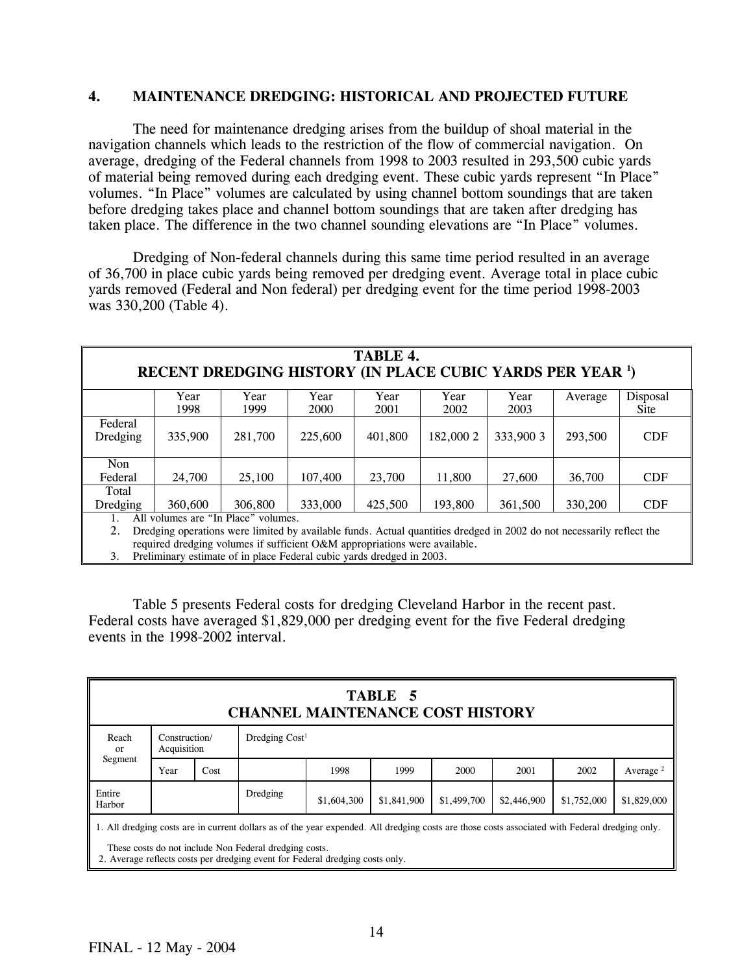#### **4. MAINTENANCE DREDGING: HISTORICAL AND PROJECTED FUTURE**

 The need for maintenance dredging arises from the buildup of shoal material in the navigation channels which leads to the restriction of the flow of commercial navigation. On average, dredging of the Federal channels from 1998 to 2003 resulted in 293,500 cubic yards of material being removed during each dredging event. These cubic yards represent "In Place" volumes. "In Place" volumes are calculated by using channel bottom soundings that are taken before dredging takes place and channel bottom soundings that are taken after dredging has taken place. The difference in the two channel sounding elevations are "In Place" volumes.

 Dredging of Non-federal channels during this same time period resulted in an average of 36,700 in place cubic yards being removed per dredging event. Average total in place cubic yards removed (Federal and Non federal) per dredging event for the time period 1998-2003 was 330,200 (Table 4).

| TABLE 4.<br>RECENT DREDGING HISTORY (IN PLACE CUBIC YARDS PER YEAR <sup>1</sup> )                                                                                                                                                                |                                                                                         |              |              |              |              |              |         |                  |  |  |
|--------------------------------------------------------------------------------------------------------------------------------------------------------------------------------------------------------------------------------------------------|-----------------------------------------------------------------------------------------|--------------|--------------|--------------|--------------|--------------|---------|------------------|--|--|
|                                                                                                                                                                                                                                                  | Year<br>1998                                                                            | Year<br>1999 | Year<br>2000 | Year<br>2001 | Year<br>2002 | Year<br>2003 | Average | Disposal<br>Site |  |  |
| Federal<br>Dredging                                                                                                                                                                                                                              | 335,900                                                                                 | 281,700      | 225,600      | 401.800      | 182,000 2    | 333,900 3    | 293,500 | <b>CDF</b>       |  |  |
| <b>Non</b><br>Federal                                                                                                                                                                                                                            | 24,700                                                                                  | 25,100       | 107,400      | 23,700       | 11.800       | 27,600       | 36,700  | <b>CDF</b>       |  |  |
| Total<br>Dredging                                                                                                                                                                                                                                | 333,000<br>425,500<br><b>CDF</b><br>360,600<br>306,800<br>193,800<br>361,500<br>330,200 |              |              |              |              |              |         |                  |  |  |
| All volumes are "In Place" volumes.<br>Dredging operations were limited by available funds. Actual quantities dredged in 2002 do not necessarily reflect the<br>2.<br>required dredging volumes if sufficient O&M appropriations were available. |                                                                                         |              |              |              |              |              |         |                  |  |  |

3. Preliminary estimate of in place Federal cubic yards dredged in 2003.

 Table 5 presents Federal costs for dredging Cleveland Harbor in the recent past. Federal costs have averaged \$1,829,000 per dredging event for the five Federal dredging events in the 1998-2002 interval.

| TABLE 5<br><b>CHANNEL MAINTENANCE COST HISTORY</b>                                                      |                              |      |                  |      |      |      |      |      |             |
|---------------------------------------------------------------------------------------------------------|------------------------------|------|------------------|------|------|------|------|------|-------------|
| Reach<br>or                                                                                             | Construction/<br>Acquisition |      | Dredging $Cost1$ |      |      |      |      |      |             |
| Segment                                                                                                 | Year                         | Cost |                  | 1998 | 1999 | 2000 | 2001 | 2002 | Average $2$ |
| Entire<br>Dredging<br>\$1,752,000<br>\$1,499,700<br>\$2,446,900<br>\$1,841,900<br>\$1,604,300<br>Harbor |                              |      |                  |      |      |      |      |      | \$1,829,000 |

1. All dredging costs are in current dollars as of the year expended. All dredging costs are those costs associated with Federal dredging only.

These costs do not include Non Federal dredging costs.

2. Average reflects costs per dredging event for Federal dredging costs only.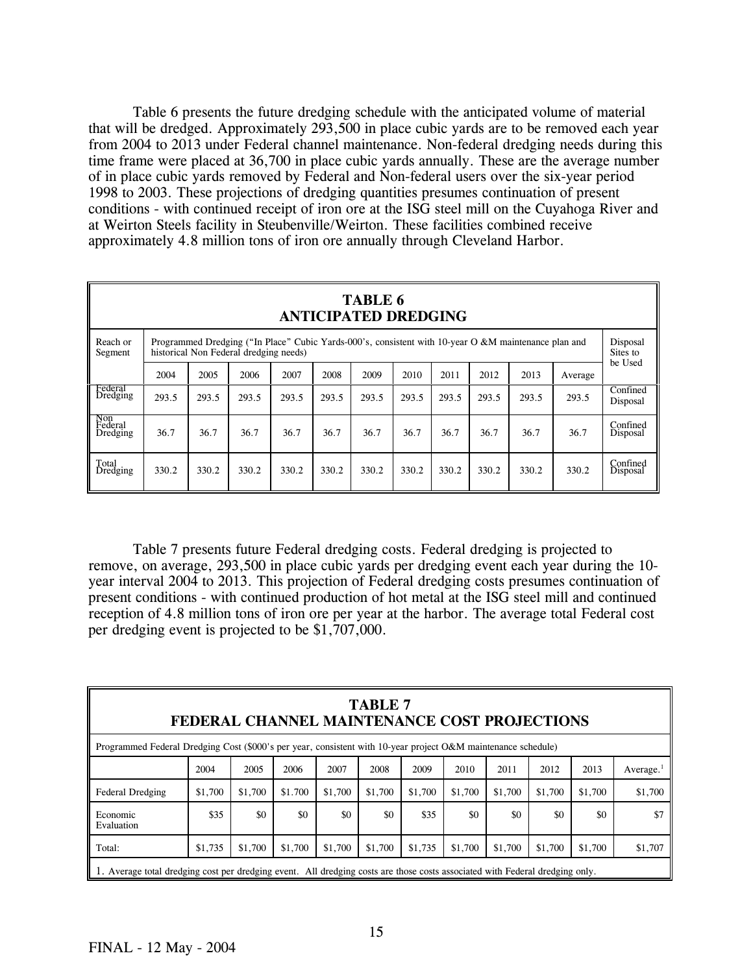Table 6 presents the future dredging schedule with the anticipated volume of material that will be dredged. Approximately 293,500 in place cubic yards are to be removed each year from 2004 to 2013 under Federal channel maintenance. Non-federal dredging needs during this time frame were placed at 36,700 in place cubic yards annually. These are the average number of in place cubic yards removed by Federal and Non-federal users over the six-year period 1998 to 2003. These projections of dredging quantities presumes continuation of present conditions - with continued receipt of iron ore at the ISG steel mill on the Cuyahoga River and at Weirton Steels facility in Steubenville/Weirton. These facilities combined receive approximately 4.8 million tons of iron ore annually through Cleveland Harbor.

|                            | <b>TABLE 6</b><br><b>ANTICIPATED DREDGING</b>                                                                                                  |                                                                                            |       |       |       |       |       |       |       |       |                      |                      |
|----------------------------|------------------------------------------------------------------------------------------------------------------------------------------------|--------------------------------------------------------------------------------------------|-------|-------|-------|-------|-------|-------|-------|-------|----------------------|----------------------|
| Reach or<br>Segment        | Programmed Dredging ("In Place" Cubic Yards-000's, consistent with 10-year O &M maintenance plan and<br>historical Non Federal dredging needs) |                                                                                            |       |       |       |       |       |       |       |       | Disposal<br>Sites to |                      |
|                            | 2004                                                                                                                                           | be Used<br>2005<br>2008<br>2012<br>2013<br>2006<br>2007<br>2009<br>2010<br>2011<br>Average |       |       |       |       |       |       |       |       |                      |                      |
| Federal<br>Dredging        | 293.5                                                                                                                                          | 293.5                                                                                      | 293.5 | 293.5 | 293.5 | 293.5 | 293.5 | 293.5 | 293.5 | 293.5 | 293.5                | Confined<br>Disposal |
| Non<br>Federal<br>Dredging | 36.7                                                                                                                                           | 36.7                                                                                       | 36.7  | 36.7  | 36.7  | 36.7  | 36.7  | 36.7  | 36.7  | 36.7  | 36.7                 | Confined<br>Disposal |
| Total<br>Dredging          | 330.2                                                                                                                                          | 330.2                                                                                      | 330.2 | 330.2 | 330.2 | 330.2 | 330.2 | 330.2 | 330.2 | 330.2 | 330.2                | Confined<br>Disposal |

 Table 7 presents future Federal dredging costs. Federal dredging is projected to remove, on average, 293,500 in place cubic yards per dredging event each year during the 10 year interval 2004 to 2013. This projection of Federal dredging costs presumes continuation of present conditions - with continued production of hot metal at the ISG steel mill and continued reception of 4.8 million tons of iron ore per year at the harbor. The average total Federal cost per dredging event is projected to be \$1,707,000.

| <b>TABLE 7</b><br>FEDERAL CHANNEL MAINTENANCE COST PROJECTIONS                                                                  |         |         |         |         |         |         |         |         |         |         |              |
|---------------------------------------------------------------------------------------------------------------------------------|---------|---------|---------|---------|---------|---------|---------|---------|---------|---------|--------------|
| Programmed Federal Dredging Cost (\$000's per year, consistent with 10-year project O&M maintenance schedule)                   |         |         |         |         |         |         |         |         |         |         |              |
|                                                                                                                                 | 2004    | 2005    | 2006    | 2007    | 2008    | 2009    | 2010    | 2011    | 2012    | 2013    | Average. $1$ |
| Federal Dredging                                                                                                                | \$1,700 | \$1,700 | \$1.700 | \$1,700 | \$1,700 | \$1,700 | \$1.700 | \$1,700 | \$1,700 | \$1,700 | \$1,700      |
| Economic<br>Evaluation                                                                                                          | \$35    | \$0     | \$0     | \$0     | \$0     | \$35    | \$0     | \$0     | \$0     | \$0     | \$7          |
| \$1,700<br>\$1,700<br>\$1,735<br>\$1,700<br>\$1,735<br>\$1,700<br>\$1,700<br>\$1,700<br>\$1,700<br>\$1,700<br>\$1,707<br>Total: |         |         |         |         |         |         |         |         |         |         |              |
| 1. Average total dredging cost per dredging event. All dredging costs are those costs associated with Federal dredging only.    |         |         |         |         |         |         |         |         |         |         |              |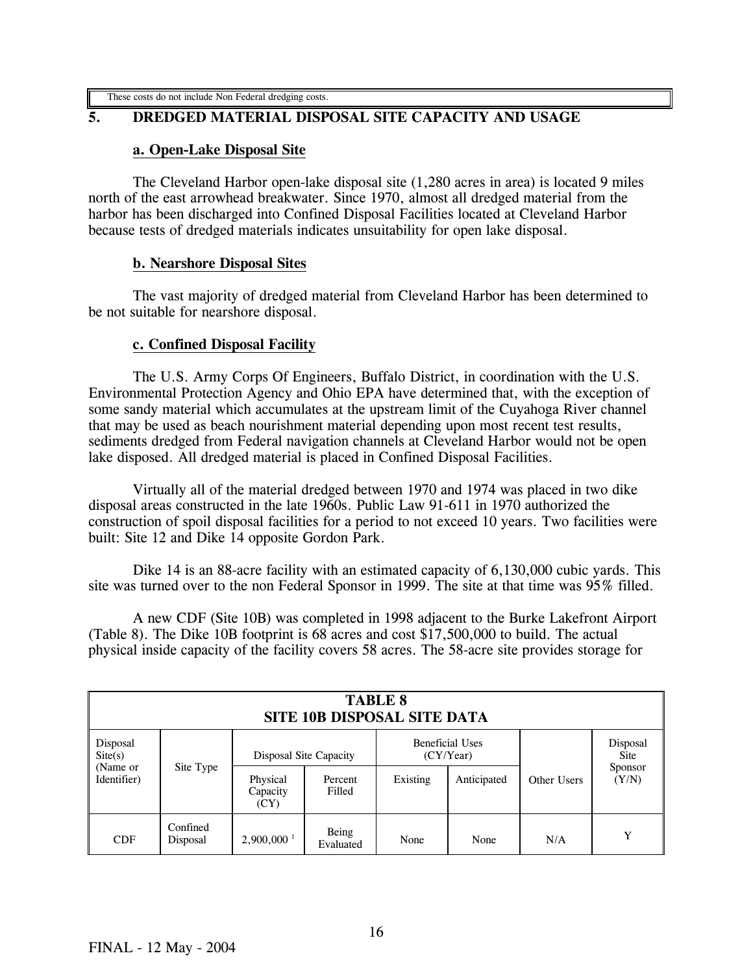# **5. DREDGED MATERIAL DISPOSAL SITE CAPACITY AND USAGE**

#### **a. Open-Lake Disposal Site**

The Cleveland Harbor open-lake disposal site (1,280 acres in area) is located 9 miles north of the east arrowhead breakwater. Since 1970, almost all dredged material from the harbor has been discharged into Confined Disposal Facilities located at Cleveland Harbor because tests of dredged materials indicates unsuitability for open lake disposal.

#### **b. Nearshore Disposal Sites**

The vast majority of dredged material from Cleveland Harbor has been determined to be not suitable for nearshore disposal.

#### **c. Confined Disposal Facility**

The U.S. Army Corps Of Engineers, Buffalo District, in coordination with the U.S. Environmental Protection Agency and Ohio EPA have determined that, with the exception of some sandy material which accumulates at the upstream limit of the Cuyahoga River channel that may be used as beach nourishment material depending upon most recent test results, sediments dredged from Federal navigation channels at Cleveland Harbor would not be open lake disposed. All dredged material is placed in Confined Disposal Facilities.

Virtually all of the material dredged between 1970 and 1974 was placed in two dike disposal areas constructed in the late 1960s. Public Law 91-611 in 1970 authorized the construction of spoil disposal facilities for a period to not exceed 10 years. Two facilities were built: Site 12 and Dike 14 opposite Gordon Park.

Dike 14 is an 88-acre facility with an estimated capacity of 6,130,000 cubic yards. This site was turned over to the non Federal Sponsor in 1999. The site at that time was 95% filled.

A new CDF (Site 10B) was completed in 1998 adjacent to the Burke Lakefront Airport (Table 8). The Dike 10B footprint is 68 acres and cost \$17,500,000 to build. The actual physical inside capacity of the facility covers 58 acres. The 58-acre site provides storage for

| <b>TABLE 8</b><br><b>SITE 10B DISPOSAL SITE DATA</b> |                      |                              |                        |          |                                     |             |                  |  |  |
|------------------------------------------------------|----------------------|------------------------------|------------------------|----------|-------------------------------------|-------------|------------------|--|--|
| Disposal<br>$\text{Site}(s)$                         |                      |                              | Disposal Site Capacity |          | <b>Beneficial Uses</b><br>(CY/Year) |             | Disposal<br>Site |  |  |
| (Name or<br>Identifier)                              | Site Type            | Physical<br>Capacity<br>(CY) | Percent<br>Filled      | Existing | Anticipated                         | Other Users | Sponsor<br>(Y/N) |  |  |
| CDF                                                  | Confined<br>Disposal | $2,900,000$ <sup>1</sup>     | Being<br>Evaluated     | None     | None                                | N/A         | Y                |  |  |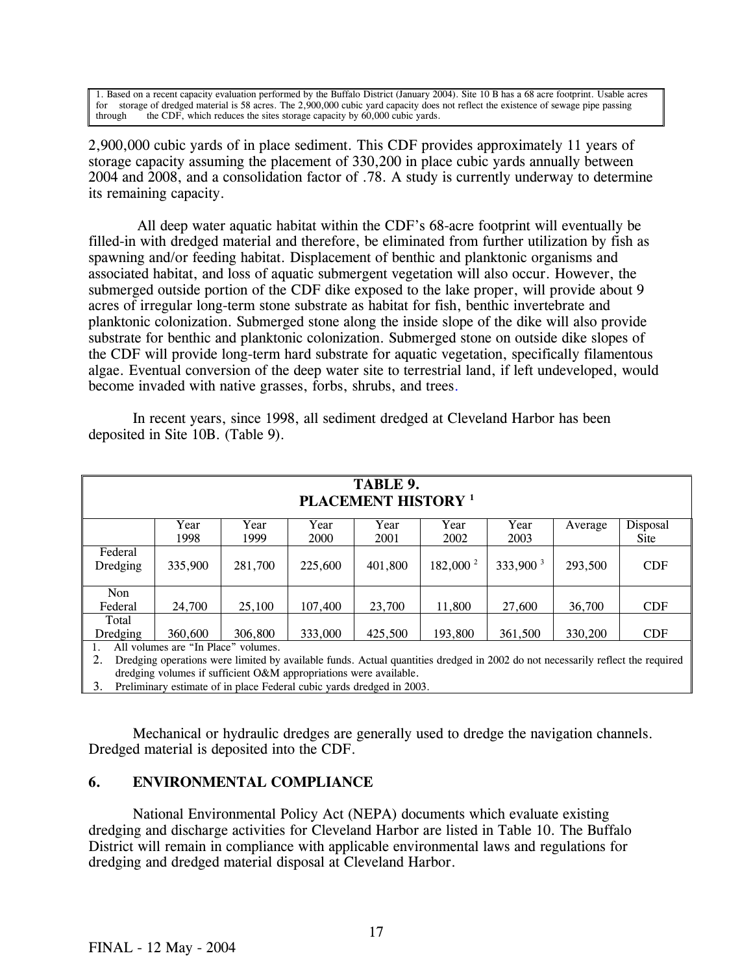1. Based on a recent capacity evaluation performed by the Buffalo District (January 2004). Site 10 B has a 68 acre footprint. Usable acres for storage of dredged material is 58 acres. The 2,900,000 cubic yard capacity does not reflect the existence of sewage pipe passing through the CDF, which reduces the sites storage capacity by 60,000 cubic yards.

2,900,000 cubic yards of in place sediment. This CDF provides approximately 11 years of storage capacity assuming the placement of 330,200 in place cubic yards annually between 2004 and 2008, and a consolidation factor of .78. A study is currently underway to determine its remaining capacity.

All deep water aquatic habitat within the CDF's 68-acre footprint will eventually be filled-in with dredged material and therefore, be eliminated from further utilization by fish as spawning and/or feeding habitat. Displacement of benthic and planktonic organisms and associated habitat, and loss of aquatic submergent vegetation will also occur. However, the submerged outside portion of the CDF dike exposed to the lake proper, will provide about 9 acres of irregular long-term stone substrate as habitat for fish, benthic invertebrate and planktonic colonization. Submerged stone along the inside slope of the dike will also provide substrate for benthic and planktonic colonization. Submerged stone on outside dike slopes of the CDF will provide long-term hard substrate for aquatic vegetation, specifically filamentous algae. Eventual conversion of the deep water site to terrestrial land, if left undeveloped, would become invaded with native grasses, forbs, shrubs, and trees.

| TABLE 9.<br><b>PLACEMENT HISTORY</b> <sup>1</sup> |                                     |         |         |         |                |             |         |             |  |  |
|---------------------------------------------------|-------------------------------------|---------|---------|---------|----------------|-------------|---------|-------------|--|--|
|                                                   | Year                                | Year    | Year    | Year    | Year           | Year        | Average | Disposal    |  |  |
|                                                   | 1998                                | 1999    | 2000    | 2001    | 2002           | 2003        |         | <b>Site</b> |  |  |
| Federal<br>Dredging                               | 335,900                             | 281,700 | 225,600 | 401,800 | 182,000 $^{2}$ | $333,900^3$ | 293,500 | <b>CDF</b>  |  |  |
| <b>Non</b>                                        |                                     |         |         |         |                |             |         |             |  |  |
| Federal                                           | 24,700                              | 25,100  | 107,400 | 23,700  | 11,800         | 27,600      | 36,700  | <b>CDF</b>  |  |  |
| Total                                             |                                     |         |         |         |                |             |         |             |  |  |
| Dredging                                          | 360,600                             | 306,800 | 333,000 | 425,500 | 193,800        | 361,500     | 330,200 | <b>CDF</b>  |  |  |
|                                                   | All volumes are "In Place" volumes. |         |         |         |                |             |         |             |  |  |

 In recent years, since 1998, all sediment dredged at Cleveland Harbor has been deposited in Site 10B. (Table 9).

1. All volumes are "In Place" volumes.

2. Dredging operations were limited by available funds. Actual quantities dredged in 2002 do not necessarily reflect the required dredging volumes if sufficient O&M appropriations were available.

3. Preliminary estimate of in place Federal cubic yards dredged in 2003.

Mechanical or hydraulic dredges are generally used to dredge the navigation channels. Dredged material is deposited into the CDF.

## **6. ENVIRONMENTAL COMPLIANCE**

National Environmental Policy Act (NEPA) documents which evaluate existing dredging and discharge activities for Cleveland Harbor are listed in Table 10. The Buffalo District will remain in compliance with applicable environmental laws and regulations for dredging and dredged material disposal at Cleveland Harbor.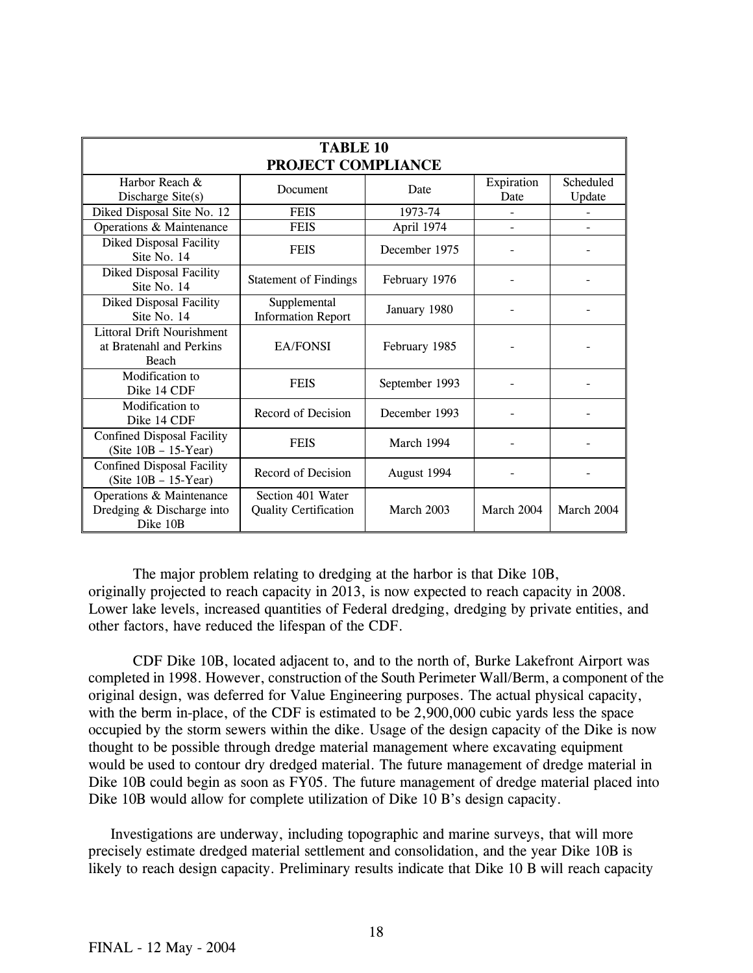| <b>TABLE 10</b><br>PROJECT COMPLIANCE                                         |                                                   |                |                    |                     |  |  |  |  |  |
|-------------------------------------------------------------------------------|---------------------------------------------------|----------------|--------------------|---------------------|--|--|--|--|--|
| Harbor Reach &<br>Discharge Site(s)                                           | Document                                          | Date           | Expiration<br>Date | Scheduled<br>Update |  |  |  |  |  |
| Diked Disposal Site No. 12                                                    | <b>FEIS</b>                                       | 1973-74        |                    |                     |  |  |  |  |  |
| Operations & Maintenance                                                      | <b>FEIS</b>                                       | April 1974     |                    |                     |  |  |  |  |  |
| <b>Diked Disposal Facility</b><br>Site No. 14                                 | <b>FEIS</b>                                       | December 1975  |                    |                     |  |  |  |  |  |
| <b>Diked Disposal Facility</b><br>Site No. 14                                 | <b>Statement of Findings</b>                      | February 1976  |                    |                     |  |  |  |  |  |
| <b>Diked Disposal Facility</b><br>Site No. 14                                 | Supplemental<br><b>Information Report</b>         | January 1980   |                    |                     |  |  |  |  |  |
| <b>Littoral Drift Nourishment</b><br>at Bratenahl and Perkins<br><b>Beach</b> | EA/FONSI                                          | February 1985  |                    |                     |  |  |  |  |  |
| Modification to<br>Dike 14 CDF                                                | <b>FEIS</b>                                       | September 1993 |                    |                     |  |  |  |  |  |
| Modification to<br>Dike 14 CDF                                                | Record of Decision                                | December 1993  |                    |                     |  |  |  |  |  |
| <b>Confined Disposal Facility</b><br>$(Site 10B - 15$ -Year)                  | <b>FEIS</b>                                       | March 1994     |                    |                     |  |  |  |  |  |
| <b>Confined Disposal Facility</b><br>(Site $10B - 15$ -Year)                  | Record of Decision                                | August 1994    |                    |                     |  |  |  |  |  |
| Operations & Maintenance<br>Dredging & Discharge into<br>Dike 10B             | Section 401 Water<br><b>Quality Certification</b> | March 2003     | March 2004         | March 2004          |  |  |  |  |  |

The major problem relating to dredging at the harbor is that Dike 10B, originally projected to reach capacity in 2013, is now expected to reach capacity in 2008. Lower lake levels, increased quantities of Federal dredging, dredging by private entities, and other factors, have reduced the lifespan of the CDF.

CDF Dike 10B, located adjacent to, and to the north of, Burke Lakefront Airport was completed in 1998. However, construction of the South Perimeter Wall/Berm, a component of the original design, was deferred for Value Engineering purposes. The actual physical capacity, with the berm in-place, of the CDF is estimated to be 2,900,000 cubic yards less the space occupied by the storm sewers within the dike. Usage of the design capacity of the Dike is now thought to be possible through dredge material management where excavating equipment would be used to contour dry dredged material. The future management of dredge material in Dike 10B could begin as soon as FY05. The future management of dredge material placed into Dike 10B would allow for complete utilization of Dike 10 B's design capacity.

Investigations are underway, including topographic and marine surveys, that will more precisely estimate dredged material settlement and consolidation, and the year Dike 10B is likely to reach design capacity. Preliminary results indicate that Dike 10 B will reach capacity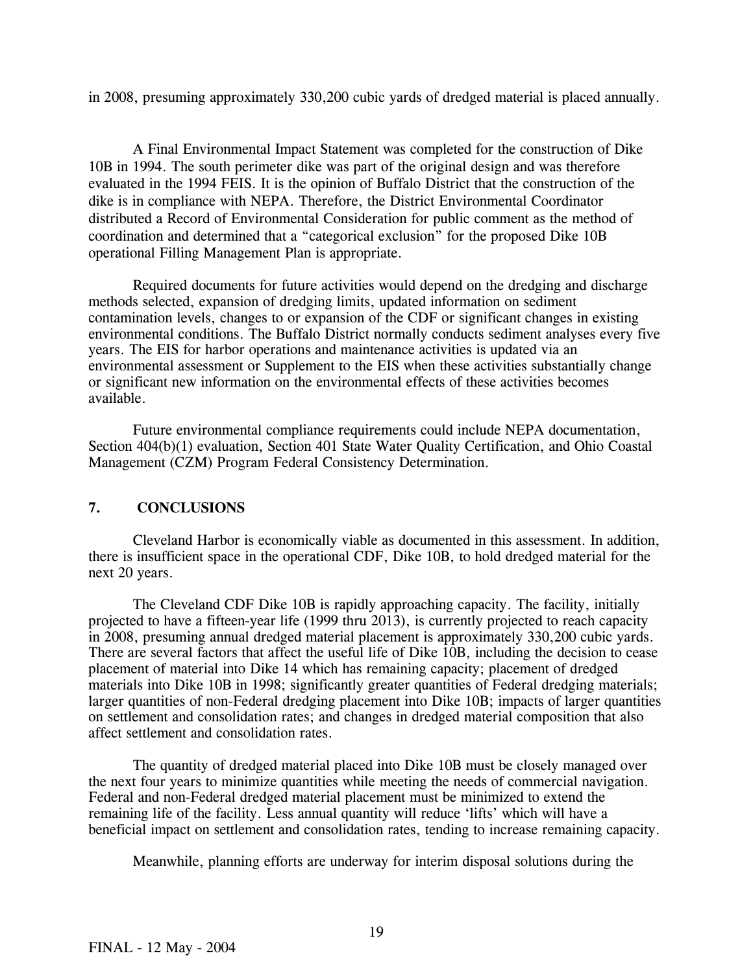in 2008, presuming approximately 330,200 cubic yards of dredged material is placed annually.

A Final Environmental Impact Statement was completed for the construction of Dike 10B in 1994. The south perimeter dike was part of the original design and was therefore evaluated in the 1994 FEIS. It is the opinion of Buffalo District that the construction of the dike is in compliance with NEPA. Therefore, the District Environmental Coordinator distributed a Record of Environmental Consideration for public comment as the method of coordination and determined that a "categorical exclusion" for the proposed Dike 10B operational Filling Management Plan is appropriate.

Required documents for future activities would depend on the dredging and discharge methods selected, expansion of dredging limits, updated information on sediment contamination levels, changes to or expansion of the CDF or significant changes in existing environmental conditions. The Buffalo District normally conducts sediment analyses every five years. The EIS for harbor operations and maintenance activities is updated via an environmental assessment or Supplement to the EIS when these activities substantially change or significant new information on the environmental effects of these activities becomes available.

 Future environmental compliance requirements could include NEPA documentation, Section 404(b)(1) evaluation, Section 401 State Water Quality Certification, and Ohio Coastal Management (CZM) Program Federal Consistency Determination.

#### **7. CONCLUSIONS**

 Cleveland Harbor is economically viable as documented in this assessment. In addition, there is insufficient space in the operational CDF, Dike 10B, to hold dredged material for the next 20 years.

 The Cleveland CDF Dike 10B is rapidly approaching capacity. The facility, initially projected to have a fifteen-year life (1999 thru 2013), is currently projected to reach capacity in 2008, presuming annual dredged material placement is approximately 330,200 cubic yards. There are several factors that affect the useful life of Dike 10B, including the decision to cease placement of material into Dike 14 which has remaining capacity; placement of dredged materials into Dike 10B in 1998; significantly greater quantities of Federal dredging materials; larger quantities of non-Federal dredging placement into Dike 10B; impacts of larger quantities on settlement and consolidation rates; and changes in dredged material composition that also affect settlement and consolidation rates.

 The quantity of dredged material placed into Dike 10B must be closely managed over the next four years to minimize quantities while meeting the needs of commercial navigation. Federal and non-Federal dredged material placement must be minimized to extend the remaining life of the facility. Less annual quantity will reduce 'lifts' which will have a beneficial impact on settlement and consolidation rates, tending to increase remaining capacity.

Meanwhile, planning efforts are underway for interim disposal solutions during the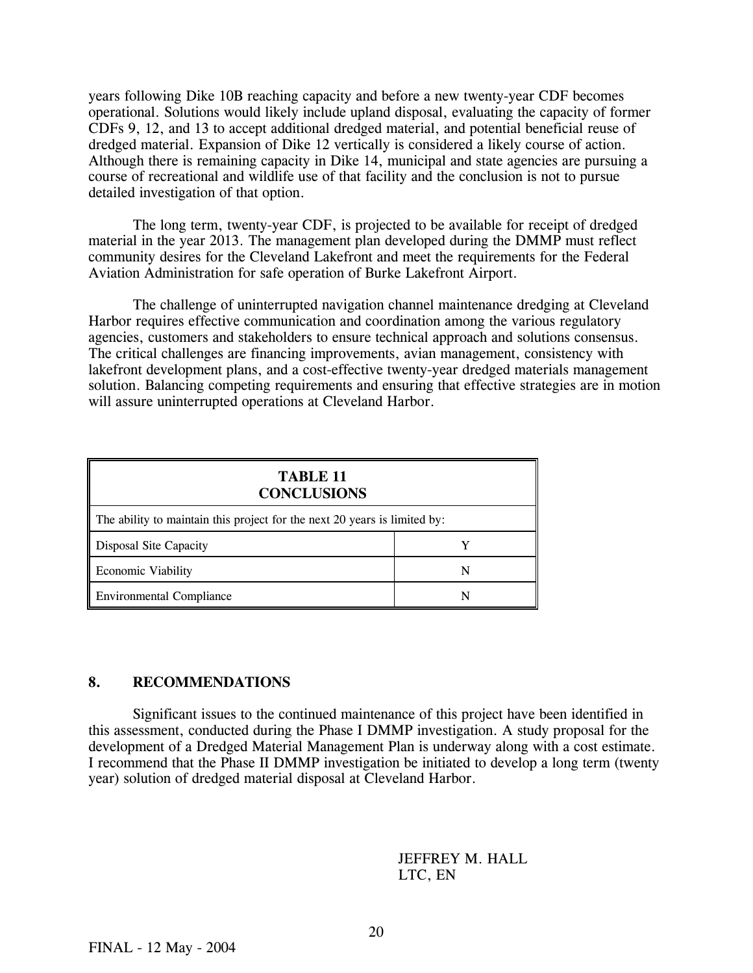years following Dike 10B reaching capacity and before a new twenty-year CDF becomes operational. Solutions would likely include upland disposal, evaluating the capacity of former CDFs 9, 12, and 13 to accept additional dredged material, and potential beneficial reuse of dredged material. Expansion of Dike 12 vertically is considered a likely course of action. Although there is remaining capacity in Dike 14, municipal and state agencies are pursuing a course of recreational and wildlife use of that facility and the conclusion is not to pursue detailed investigation of that option.

 The long term, twenty-year CDF, is projected to be available for receipt of dredged material in the year 2013. The management plan developed during the DMMP must reflect community desires for the Cleveland Lakefront and meet the requirements for the Federal Aviation Administration for safe operation of Burke Lakefront Airport.

 The challenge of uninterrupted navigation channel maintenance dredging at Cleveland Harbor requires effective communication and coordination among the various regulatory agencies, customers and stakeholders to ensure technical approach and solutions consensus. The critical challenges are financing improvements, avian management, consistency with lakefront development plans, and a cost-effective twenty-year dredged materials management solution. Balancing competing requirements and ensuring that effective strategies are in motion will assure uninterrupted operations at Cleveland Harbor.

| <b>TABLE 11</b><br><b>CONCLUSIONS</b>                                     |   |  |  |  |  |  |
|---------------------------------------------------------------------------|---|--|--|--|--|--|
| The ability to maintain this project for the next 20 years is limited by: |   |  |  |  |  |  |
| Disposal Site Capacity                                                    |   |  |  |  |  |  |
| <b>Economic Viability</b>                                                 | N |  |  |  |  |  |
| <b>Environmental Compliance</b>                                           |   |  |  |  |  |  |

#### **8. RECOMMENDATIONS**

 Significant issues to the continued maintenance of this project have been identified in this assessment, conducted during the Phase I DMMP investigation. A study proposal for the development of a Dredged Material Management Plan is underway along with a cost estimate. I recommend that the Phase II DMMP investigation be initiated to develop a long term (twenty year) solution of dredged material disposal at Cleveland Harbor.

### JEFFREY M. HALL LTC, EN